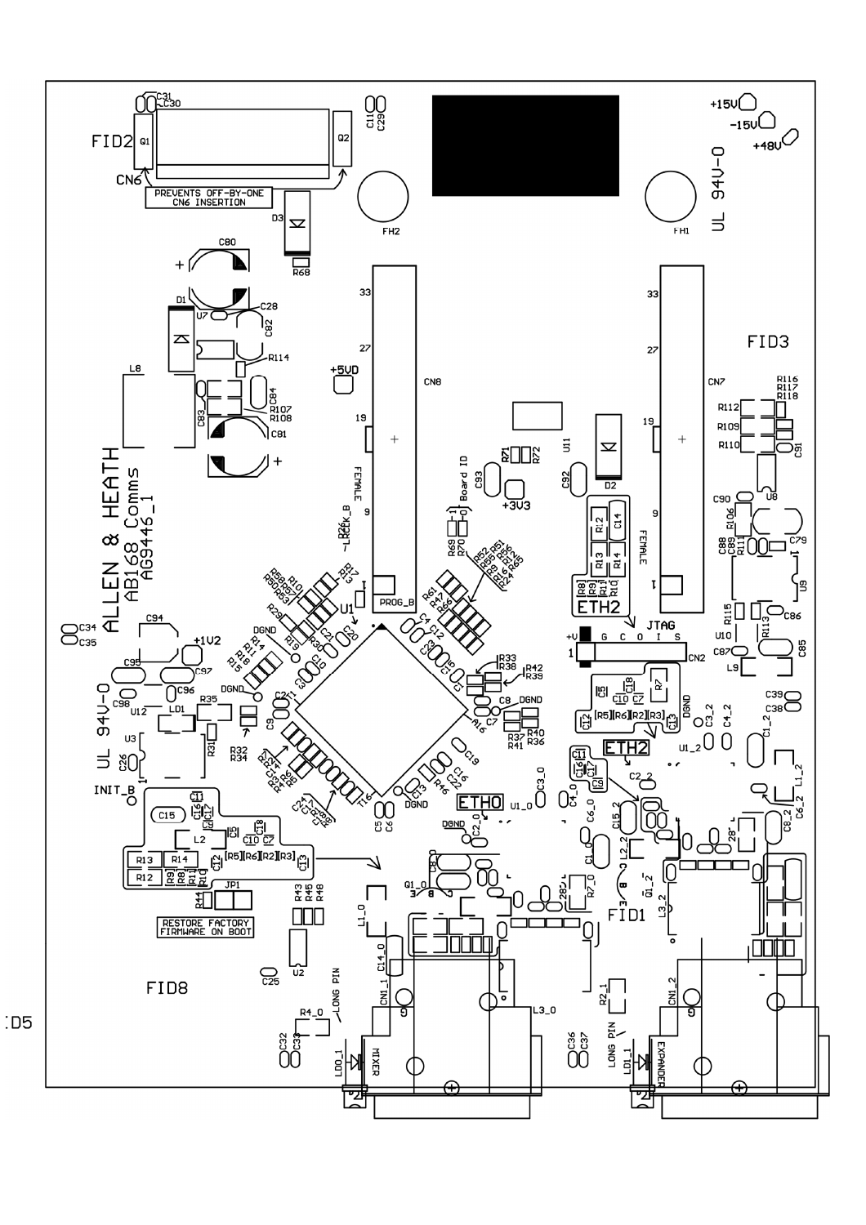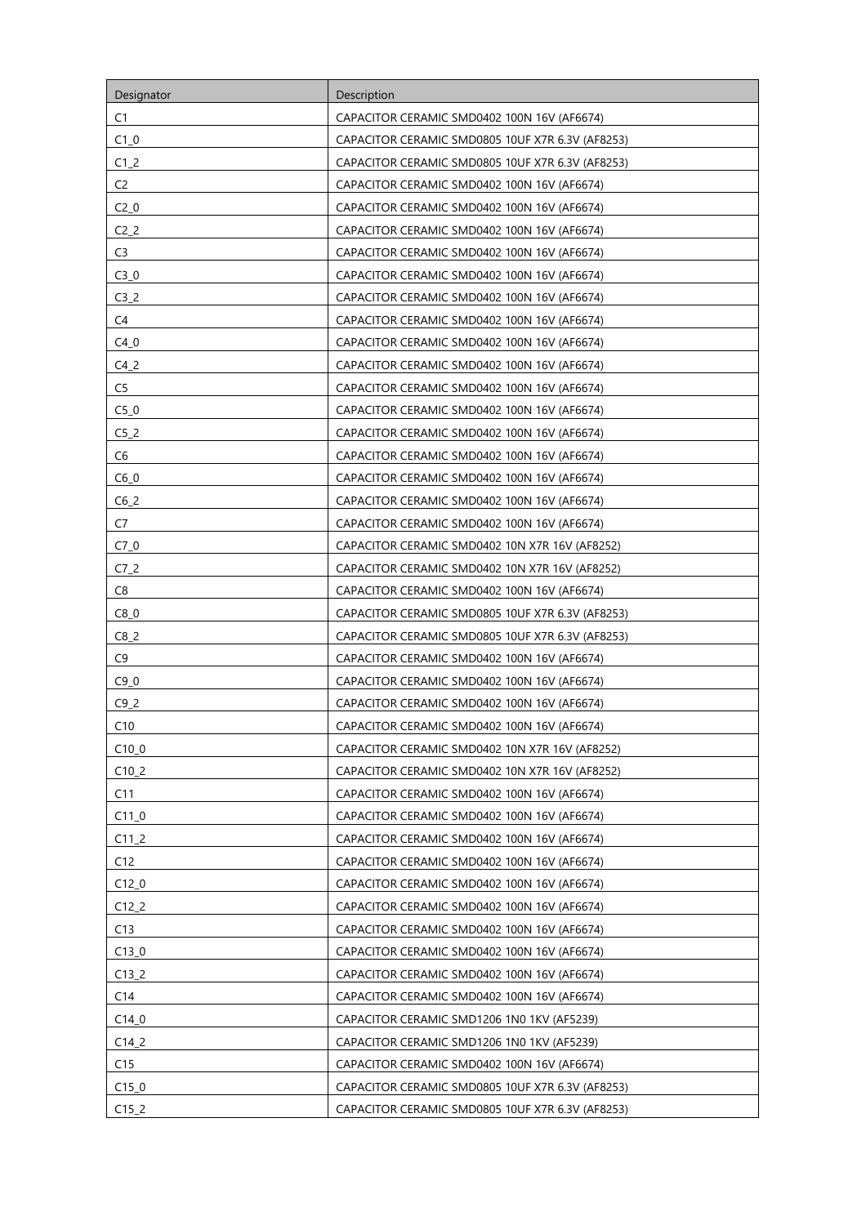| Designator         | Description                                      |
|--------------------|--------------------------------------------------|
| C1                 | CAPACITOR CERAMIC SMD0402 100N 16V (AF6674)      |
| $C1_0$             | CAPACITOR CERAMIC SMD0805 10UF X7R 6.3V (AF8253) |
| $C1_2$             | CAPACITOR CERAMIC SMD0805 10UF X7R 6.3V (AF8253) |
| C <sub>2</sub>     | CAPACITOR CERAMIC SMD0402 100N 16V (AF6674)      |
| $C2_0$             | CAPACITOR CERAMIC SMD0402 100N 16V (AF6674)      |
| C2 <sub>2</sub>    | CAPACITOR CERAMIC SMD0402 100N 16V (AF6674)      |
| C <sub>3</sub>     | CAPACITOR CERAMIC SMD0402 100N 16V (AF6674)      |
| $C3_0$             | CAPACITOR CERAMIC SMD0402 100N 16V (AF6674)      |
| C3 <sub>2</sub>    | CAPACITOR CERAMIC SMD0402 100N 16V (AF6674)      |
| C4                 | CAPACITOR CERAMIC SMD0402 100N 16V (AF6674)      |
| C40                | CAPACITOR CERAMIC SMD0402 100N 16V (AF6674)      |
| $C4_2$             | CAPACITOR CERAMIC SMD0402 100N 16V (AF6674)      |
| C <sub>5</sub>     | CAPACITOR CERAMIC SMD0402 100N 16V (AF6674)      |
| $C5_0$             | CAPACITOR CERAMIC SMD0402 100N 16V (AF6674)      |
| C5 <sub>2</sub>    | CAPACITOR CERAMIC SMD0402 100N 16V (AF6674)      |
| C6                 | CAPACITOR CERAMIC SMD0402 100N 16V (AF6674)      |
| $C6_0$             | CAPACITOR CERAMIC SMD0402 100N 16V (AF6674)      |
| $C6_2$             | CAPACITOR CERAMIC SMD0402 100N 16V (AF6674)      |
| C7                 | CAPACITOR CERAMIC SMD0402 100N 16V (AF6674)      |
| $C7_0$             | CAPACITOR CERAMIC SMD0402 10N X7R 16V (AF8252)   |
| C7 <sub>2</sub>    | CAPACITOR CERAMIC SMD0402 10N X7R 16V (AF8252)   |
| C8                 | CAPACITOR CERAMIC SMD0402 100N 16V (AF6674)      |
| $C8_0$             | CAPACITOR CERAMIC SMD0805 10UF X7R 6.3V (AF8253) |
| $C8_2$             | CAPACITOR CERAMIC SMD0805 10UF X7R 6.3V (AF8253) |
| C <sub>9</sub>     | CAPACITOR CERAMIC SMD0402 100N 16V (AF6674)      |
| $C9_0$             | CAPACITOR CERAMIC SMD0402 100N 16V (AF6674)      |
| C9 <sub>2</sub>    | CAPACITOR CERAMIC SMD0402 100N 16V (AF6674)      |
| C10                | CAPACITOR CERAMIC SMD0402 100N 16V (AF6674)      |
| $C10$ <sub>0</sub> | CAPACITOR CERAMIC SMD0402 10N X7R 16V (AF8252)   |
| $C10_2$            | CAPACITOR CERAMIC SMD0402 10N X7R 16V (AF8252)   |
| C11                | CAPACITOR CERAMIC SMD0402 100N 16V (AF6674)      |
| $C11_0$            | CAPACITOR CERAMIC SMD0402 100N 16V (AF6674)      |
| $C11_2$            | CAPACITOR CERAMIC SMD0402 100N 16V (AF6674)      |
| C12                | CAPACITOR CERAMIC SMD0402 100N 16V (AF6674)      |
| $C12_0$            | CAPACITOR CERAMIC SMD0402 100N 16V (AF6674)      |
| C12 <sub>2</sub>   | CAPACITOR CERAMIC SMD0402 100N 16V (AF6674)      |
| C13                | CAPACITOR CERAMIC SMD0402 100N 16V (AF6674)      |
| $C13_0$            | CAPACITOR CERAMIC SMD0402 100N 16V (AF6674)      |
| C13 <sub>2</sub>   | CAPACITOR CERAMIC SMD0402 100N 16V (AF6674)      |
| C14                | CAPACITOR CERAMIC SMD0402 100N 16V (AF6674)      |
| $C14_0$            | CAPACITOR CERAMIC SMD1206 1N0 1KV (AF5239)       |
| $C14_2$            | CAPACITOR CERAMIC SMD1206 1N0 1KV (AF5239)       |
| C15                | CAPACITOR CERAMIC SMD0402 100N 16V (AF6674)      |
| $C15_0$            | CAPACITOR CERAMIC SMD0805 10UF X7R 6.3V (AF8253) |
| $C15_2$            | CAPACITOR CERAMIC SMD0805 10UF X7R 6.3V (AF8253) |
|                    |                                                  |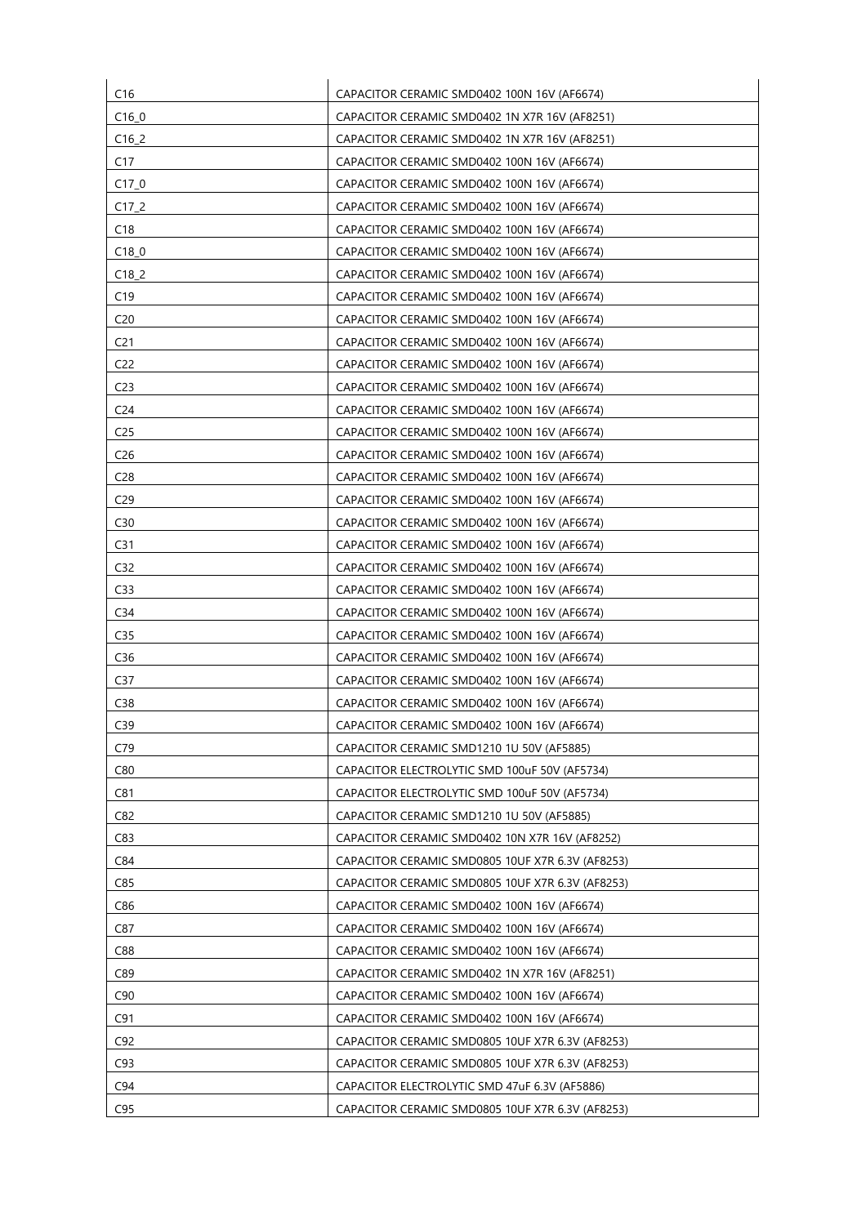| C16                | CAPACITOR CERAMIC SMD0402 100N 16V (AF6674)      |
|--------------------|--------------------------------------------------|
| $C16$ <sup>0</sup> | CAPACITOR CERAMIC SMD0402 1N X7R 16V (AF8251)    |
| $C16_2$            | CAPACITOR CERAMIC SMD0402 1N X7R 16V (AF8251)    |
| C17                | CAPACITOR CERAMIC SMD0402 100N 16V (AF6674)      |
| C17 <sub>0</sub>   | CAPACITOR CERAMIC SMD0402 100N 16V (AF6674)      |
| $C17-2$            | CAPACITOR CERAMIC SMD0402 100N 16V (AF6674)      |
| C18                | CAPACITOR CERAMIC SMD0402 100N 16V (AF6674)      |
| C180               | CAPACITOR CERAMIC SMD0402 100N 16V (AF6674)      |
| C18 <sub>2</sub>   | CAPACITOR CERAMIC SMD0402 100N 16V (AF6674)      |
| C19                | CAPACITOR CERAMIC SMD0402 100N 16V (AF6674)      |
| C <sub>20</sub>    | CAPACITOR CERAMIC SMD0402 100N 16V (AF6674)      |
| C <sub>21</sub>    | CAPACITOR CERAMIC SMD0402 100N 16V (AF6674)      |
| C <sub>22</sub>    | CAPACITOR CERAMIC SMD0402 100N 16V (AF6674)      |
| C <sub>23</sub>    | CAPACITOR CERAMIC SMD0402 100N 16V (AF6674)      |
| C <sub>24</sub>    | CAPACITOR CERAMIC SMD0402 100N 16V (AF6674)      |
| C <sub>25</sub>    | CAPACITOR CERAMIC SMD0402 100N 16V (AF6674)      |
| C26                | CAPACITOR CERAMIC SMD0402 100N 16V (AF6674)      |
| C <sub>28</sub>    | CAPACITOR CERAMIC SMD0402 100N 16V (AF6674)      |
| C <sub>29</sub>    | CAPACITOR CERAMIC SMD0402 100N 16V (AF6674)      |
| C30                | CAPACITOR CERAMIC SMD0402 100N 16V (AF6674)      |
| C <sub>31</sub>    | CAPACITOR CERAMIC SMD0402 100N 16V (AF6674)      |
| C32                | CAPACITOR CERAMIC SMD0402 100N 16V (AF6674)      |
| C <sub>33</sub>    | CAPACITOR CERAMIC SMD0402 100N 16V (AF6674)      |
| C <sub>34</sub>    | CAPACITOR CERAMIC SMD0402 100N 16V (AF6674)      |
| C <sub>35</sub>    | CAPACITOR CERAMIC SMD0402 100N 16V (AF6674)      |
| C36                | CAPACITOR CERAMIC SMD0402 100N 16V (AF6674)      |
| C <sub>37</sub>    | CAPACITOR CERAMIC SMD0402 100N 16V (AF6674)      |
| C38                | CAPACITOR CERAMIC SMD0402 100N 16V (AF6674)      |
| C <sub>39</sub>    | CAPACITOR CERAMIC SMD0402 100N 16V (AF6674)      |
| C79                | CAPACITOR CERAMIC SMD1210 1U 50V (AF5885)        |
| C80                | CAPACITOR ELECTROLYTIC SMD 100uF 50V (AF5734)    |
| C81                | CAPACITOR ELECTROLYTIC SMD 100uF 50V (AF5734)    |
| C82                | CAPACITOR CERAMIC SMD1210 1U 50V (AF5885)        |
| C83                | CAPACITOR CERAMIC SMD0402 10N X7R 16V (AF8252)   |
| C84                | CAPACITOR CERAMIC SMD0805 10UF X7R 6.3V (AF8253) |
| C85                | CAPACITOR CERAMIC SMD0805 10UF X7R 6.3V (AF8253) |
| C86                | CAPACITOR CERAMIC SMD0402 100N 16V (AF6674)      |
| C87                | CAPACITOR CERAMIC SMD0402 100N 16V (AF6674)      |
| C88                | CAPACITOR CERAMIC SMD0402 100N 16V (AF6674)      |
| C89                | CAPACITOR CERAMIC SMD0402 1N X7R 16V (AF8251)    |
| C90                | CAPACITOR CERAMIC SMD0402 100N 16V (AF6674)      |
| C91                | CAPACITOR CERAMIC SMD0402 100N 16V (AF6674)      |
| C92                | CAPACITOR CERAMIC SMD0805 10UF X7R 6.3V (AF8253) |
| C93                | CAPACITOR CERAMIC SMD0805 10UF X7R 6.3V (AF8253) |
| C94                | CAPACITOR ELECTROLYTIC SMD 47uF 6.3V (AF5886)    |
| C95                | CAPACITOR CERAMIC SMD0805 10UF X7R 6.3V (AF8253) |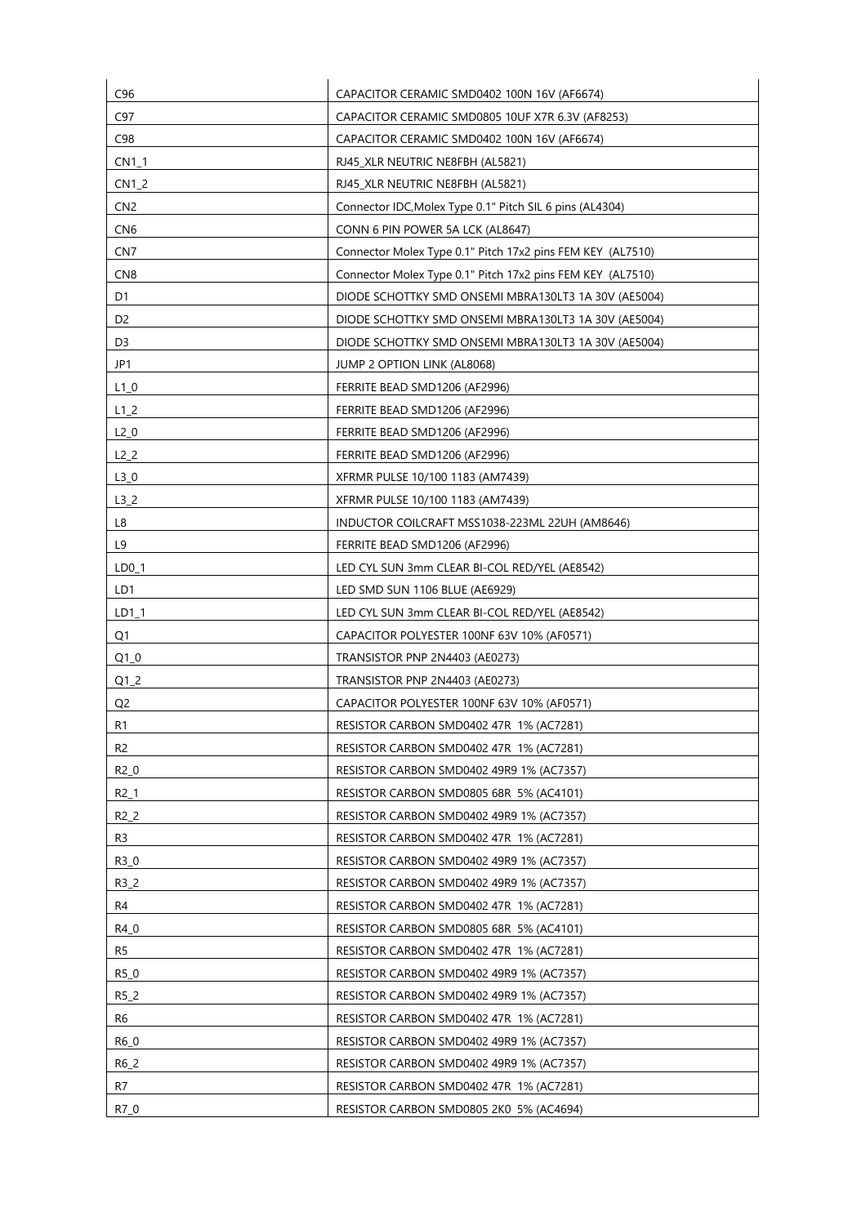| C96             | CAPACITOR CERAMIC SMD0402 100N 16V (AF6674)                |
|-----------------|------------------------------------------------------------|
| C97             | CAPACITOR CERAMIC SMD0805 10UF X7R 6.3V (AF8253)           |
| C98             | CAPACITOR CERAMIC SMD0402 100N 16V (AF6674)                |
| $CN1_1$         | RJ45 XLR NEUTRIC NE8FBH (AL5821)                           |
| $CN1_2$         | RJ45 XLR NEUTRIC NE8FBH (AL5821)                           |
| CN <sub>2</sub> | Connector IDC, Molex Type 0.1" Pitch SIL 6 pins (AL4304)   |
| CN <sub>6</sub> | CONN 6 PIN POWER 5A LCK (AL8647)                           |
| CN <sub>7</sub> | Connector Molex Type 0.1" Pitch 17x2 pins FEM KEY (AL7510) |
| CN <sub>8</sub> | Connector Molex Type 0.1" Pitch 17x2 pins FEM KEY (AL7510) |
| D1              | DIODE SCHOTTKY SMD ONSEMI MBRA130LT3 1A 30V (AE5004)       |
| D <sub>2</sub>  | DIODE SCHOTTKY SMD ONSEMI MBRA130LT3 1A 30V (AE5004)       |
| D3              | DIODE SCHOTTKY SMD ONSEMI MBRA130LT3 1A 30V (AE5004)       |
| JP1             | JUMP 2 OPTION LINK (AL8068)                                |
| $L1_0$          | FERRITE BEAD SMD1206 (AF2996)                              |
| $L1_2$          | FERRITE BEAD SMD1206 (AF2996)                              |
| $L2_0$          | FERRITE BEAD SMD1206 (AF2996)                              |
| $L2_2$          | FERRITE BEAD SMD1206 (AF2996)                              |
| $L3_0$          | XFRMR PULSE 10/100 1183 (AM7439)                           |
| $L3_2$          | XFRMR PULSE 10/100 1183 (AM7439)                           |
| L8              | INDUCTOR COILCRAFT MSS1038-223ML 22UH (AM8646)             |
| L9              | FERRITE BEAD SMD1206 (AF2996)                              |
| $LD0_1$         | LED CYL SUN 3mm CLEAR BI-COL RED/YEL (AE8542)              |
| LD1             | LED SMD SUN 1106 BLUE (AE6929)                             |
| LD1_1           | LED CYL SUN 3mm CLEAR BI-COL RED/YEL (AE8542)              |
| Q <sub>1</sub>  | CAPACITOR POLYESTER 100NF 63V 10% (AF0571)                 |
| $Q1_0$          | TRANSISTOR PNP 2N4403 (AE0273)                             |
| $Q1_2$          | TRANSISTOR PNP 2N4403 (AE0273)                             |
| Q <sub>2</sub>  | CAPACITOR POLYESTER 100NF 63V 10% (AF0571)                 |
| R1              | RESISTOR CARBON SMD0402 47R 1% (AC7281)                    |
| R <sub>2</sub>  | RESISTOR CARBON SMD0402 47R 1% (AC7281)                    |
| $R2_0$          | RESISTOR CARBON SMD0402 49R9 1% (AC7357)                   |
| $R2_1$          | RESISTOR CARBON SMD0805 68R 5% (AC4101)                    |
| $R2_2$          | RESISTOR CARBON SMD0402 49R9 1% (AC7357)                   |
| R3              | RESISTOR CARBON SMD0402 47R 1% (AC7281)                    |
| R3_0            | RESISTOR CARBON SMD0402 49R9 1% (AC7357)                   |
| $R3_2$          | RESISTOR CARBON SMD0402 49R9 1% (AC7357)                   |
| R4              | RESISTOR CARBON SMD0402 47R 1% (AC7281)                    |
| R4_0            | RESISTOR CARBON SMD0805 68R 5% (AC4101)                    |
| R <sub>5</sub>  | RESISTOR CARBON SMD0402 47R 1% (AC7281)                    |
| R5_0            | RESISTOR CARBON SMD0402 49R9 1% (AC7357)                   |
| R5_2            | RESISTOR CARBON SMD0402 49R9 1% (AC7357)                   |
| R6              | RESISTOR CARBON SMD0402 47R 1% (AC7281)                    |
| R6_0            | RESISTOR CARBON SMD0402 49R9 1% (AC7357)                   |
| R6_2            | RESISTOR CARBON SMD0402 49R9 1% (AC7357)                   |
| R7              | RESISTOR CARBON SMD0402 47R 1% (AC7281)                    |
| R7_0            | RESISTOR CARBON SMD0805 2K0 5% (AC4694)                    |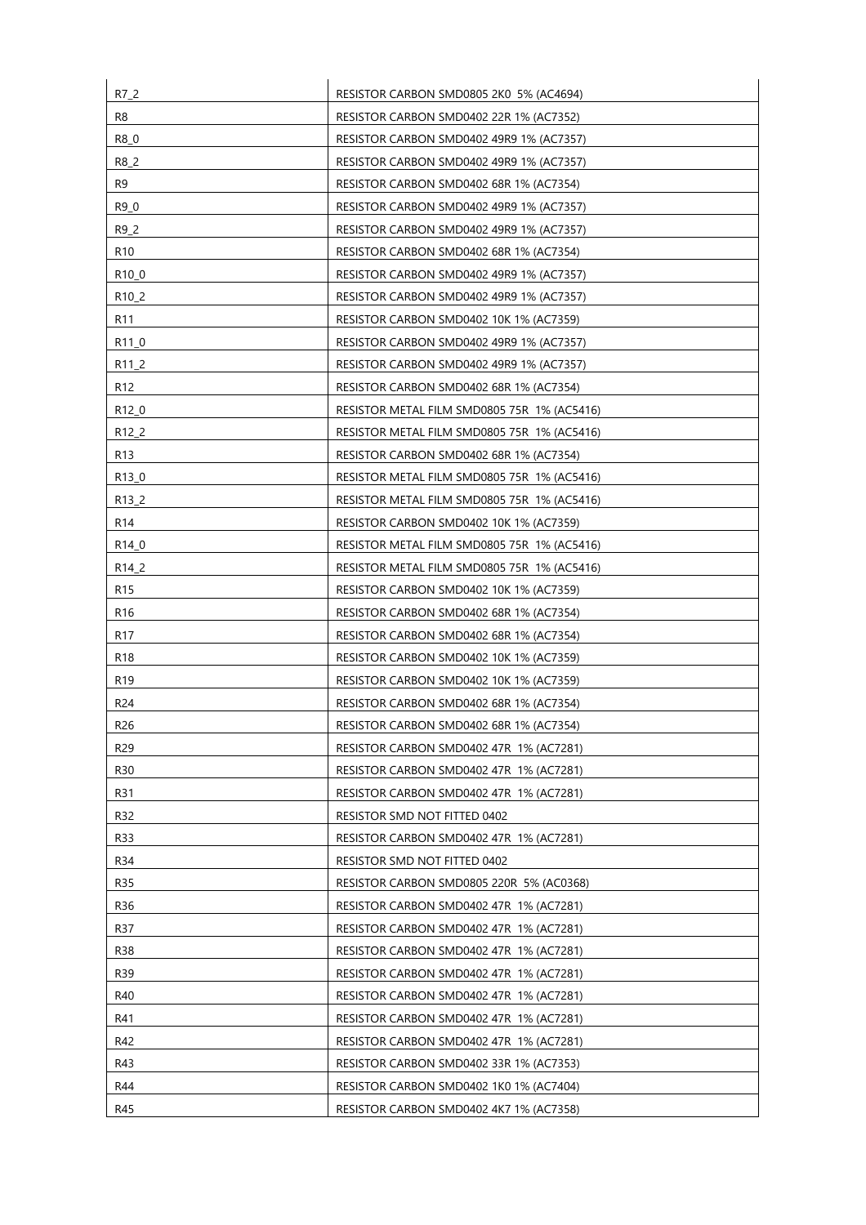| R7_2               | RESISTOR CARBON SMD0805 2K0 5% (AC4694)     |
|--------------------|---------------------------------------------|
| R <sub>8</sub>     | RESISTOR CARBON SMD0402 22R 1% (AC7352)     |
| R8_0               | RESISTOR CARBON SMD0402 49R9 1% (AC7357)    |
| R8_2               | RESISTOR CARBON SMD0402 49R9 1% (AC7357)    |
| R <sub>9</sub>     | RESISTOR CARBON SMD0402 68R 1% (AC7354)     |
| R9 0               | RESISTOR CARBON SMD0402 49R9 1% (AC7357)    |
| R9_2               | RESISTOR CARBON SMD0402 49R9 1% (AC7357)    |
| R <sub>10</sub>    | RESISTOR CARBON SMD0402 68R 1% (AC7354)     |
| R <sub>10</sub> 0  | RESISTOR CARBON SMD0402 49R9 1% (AC7357)    |
| R <sub>10</sub> _2 | RESISTOR CARBON SMD0402 49R9 1% (AC7357)    |
| R11                | RESISTOR CARBON SMD0402 10K 1% (AC7359)     |
| R11_0              | RESISTOR CARBON SMD0402 49R9 1% (AC7357)    |
| R <sub>11_2</sub>  | RESISTOR CARBON SMD0402 49R9 1% (AC7357)    |
| R <sub>12</sub>    | RESISTOR CARBON SMD0402 68R 1% (AC7354)     |
| R <sub>12</sub> 0  | RESISTOR METAL FILM SMD0805 75R 1% (AC5416) |
| R <sub>12</sub> 2  | RESISTOR METAL FILM SMD0805 75R 1% (AC5416) |
| R13                | RESISTOR CARBON SMD0402 68R 1% (AC7354)     |
| R130               | RESISTOR METAL FILM SMD0805 75R 1% (AC5416) |
| R <sub>13</sub> 2  | RESISTOR METAL FILM SMD0805 75R 1% (AC5416) |
| R <sub>14</sub>    | RESISTOR CARBON SMD0402 10K 1% (AC7359)     |
| R <sub>14</sub> _0 | RESISTOR METAL FILM SMD0805 75R 1% (AC5416) |
| R <sub>14</sub> 2  | RESISTOR METAL FILM SMD0805 75R 1% (AC5416) |
| R <sub>15</sub>    | RESISTOR CARBON SMD0402 10K 1% (AC7359)     |
| R <sub>16</sub>    | RESISTOR CARBON SMD0402 68R 1% (AC7354)     |
| R <sub>17</sub>    | RESISTOR CARBON SMD0402 68R 1% (AC7354)     |
| R <sub>18</sub>    | RESISTOR CARBON SMD0402 10K 1% (AC7359)     |
| R <sub>19</sub>    | RESISTOR CARBON SMD0402 10K 1% (AC7359)     |
| R <sub>24</sub>    | RESISTOR CARBON SMD0402 68R 1% (AC7354)     |
| R <sub>26</sub>    | RESISTOR CARBON SMD0402 68R 1% (AC7354)     |
| R29                | RESISTOR CARBON SMD0402 47R 1% (AC7281)     |
| R30                | RESISTOR CARBON SMD0402 47R 1% (AC7281)     |
| R31                | RESISTOR CARBON SMD0402 47R 1% (AC7281)     |
| R32                | RESISTOR SMD NOT FITTED 0402                |
| R33                | RESISTOR CARBON SMD0402 47R 1% (AC7281)     |
| R34                | RESISTOR SMD NOT FITTED 0402                |
| R35                | RESISTOR CARBON SMD0805 220R 5% (AC0368)    |
| R36                | RESISTOR CARBON SMD0402 47R 1% (AC7281)     |
| R37                | RESISTOR CARBON SMD0402 47R 1% (AC7281)     |
| R38                | RESISTOR CARBON SMD0402 47R 1% (AC7281)     |
| R39                | RESISTOR CARBON SMD0402 47R 1% (AC7281)     |
| R40                | RESISTOR CARBON SMD0402 47R 1% (AC7281)     |
| R41                | RESISTOR CARBON SMD0402 47R 1% (AC7281)     |
| R42                | RESISTOR CARBON SMD0402 47R 1% (AC7281)     |
| R43                | RESISTOR CARBON SMD0402 33R 1% (AC7353)     |
| R44                | RESISTOR CARBON SMD0402 1K0 1% (AC7404)     |
| R45                | RESISTOR CARBON SMD0402 4K7 1% (AC7358)     |